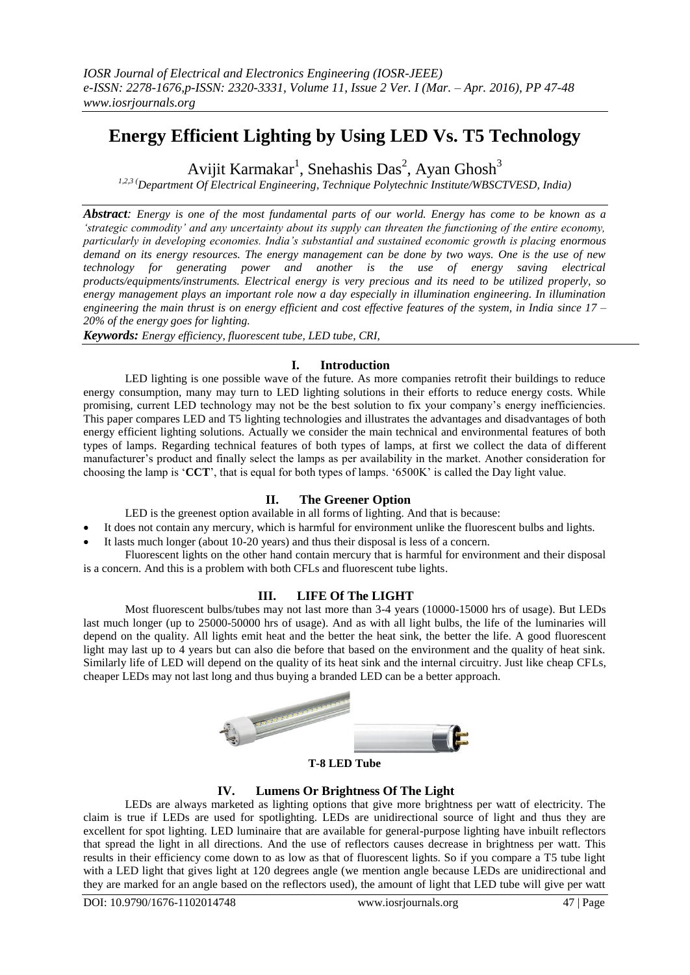# **Energy Efficient Lighting by Using LED Vs. T5 Technology**

Avijit Karmakar<sup>1</sup>, Snehashis Das<sup>2</sup>, Ayan Ghosh<sup>3</sup>

*1,2,3 (Department Of Electrical Engineering, Technique Polytechnic Institute/WBSCTVESD, India)*

*Abstract: Energy is one of the most fundamental parts of our world. Energy has come to be known as a 'strategic commodity' and any uncertainty about its supply can threaten the functioning of the entire economy, particularly in developing economies. India's substantial and sustained economic growth is placing enormous demand on its energy resources. The energy management can be done by two ways. One is the use of new technology for generating power and another is the use of energy saving electrical products/equipments/instruments. Electrical energy is very precious and its need to be utilized properly, so energy management plays an important role now a day especially in illumination engineering. In illumination engineering the main thrust is on energy efficient and cost effective features of the system, in India since 17 – 20% of the energy goes for lighting.*

*Keywords: Energy efficiency, fluorescent tube, LED tube, CRI,*

## **I. Introduction**

LED lighting is one possible wave of the future. As more companies retrofit their buildings to reduce energy consumption, many may turn to LED lighting solutions in their efforts to reduce energy costs. While promising, current LED technology may not be the best solution to fix your company's energy inefficiencies. This paper compares LED and T5 lighting technologies and illustrates the advantages and disadvantages of both energy efficient lighting solutions. Actually we consider the main technical and environmental features of both types of lamps. Regarding technical features of both types of lamps, at first we collect the data of different manufacturer's product and finally select the lamps as per availability in the market. Another consideration for choosing the lamp is '**CCT**', that is equal for both types of lamps. '6500K' is called the Day light value.

## **II. The Greener Option**

LED is the greenest option available in all forms of lighting. And that is because:

- It does not contain any mercury, which is harmful for environment unlike the fluorescent bulbs and lights.
- It lasts much longer (about 10-20 years) and thus their disposal is less of a concern.

Fluorescent lights on the other hand contain mercury that is harmful for environment and their disposal is a concern. And this is a problem with both CFLs and fluorescent tube lights.

#### **III. LIFE Of The LIGHT**

Most fluorescent bulbs/tubes may not last more than 3-4 years (10000-15000 hrs of usage). But LEDs last much longer (up to 25000-50000 hrs of usage). And as with all light bulbs, the life of the luminaries will depend on the quality. All lights emit heat and the better the heat sink, the better the life. A good fluorescent light may last up to 4 years but can also die before that based on the environment and the quality of heat sink. Similarly life of LED will depend on the quality of its heat sink and the internal circuitry. Just like cheap CFLs, cheaper LEDs may not last long and thus buying a branded LED can be a better approach.



**T-8 LED Tube**

#### **IV. Lumens Or Brightness Of The Light**

LEDs are always marketed as lighting options that give more brightness per watt of electricity. The claim is true if LEDs are used for spotlighting. LEDs are unidirectional source of light and thus they are excellent for spot lighting. LED luminaire that are available for general-purpose lighting have inbuilt reflectors that spread the light in all directions. And the use of reflectors causes decrease in brightness per watt. This results in their efficiency come down to as low as that of fluorescent lights. So if you compare a T5 tube light with a LED light that gives light at 120 degrees angle (we mention angle because LEDs are unidirectional and they are marked for an angle based on the reflectors used), the amount of light that LED tube will give per watt